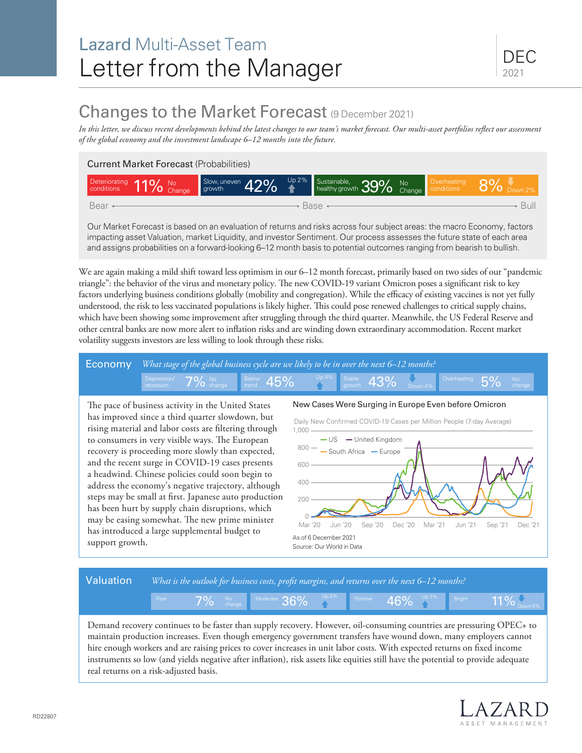# Lazard Multi-Asset Team Letter from the Manager

## Changes to the Market Forecast (9 December 2021)

*In this letter, we discuss recent developments behind the latest changes to our team's market forecast. Our multi-asset portfolios reflect our assessment of the global economy and the investment landscape 6–12 months into the future.*

#### Current Market Forecast (Probabilities)

| Deteriorating 11% No<br>conditions 11% Change | Slow, uneven 42% <sup>Up 2%</sup> Sustainable, 39% No Change |  |  |  | Overheating<br>conditions | $8\%$ Down 2% |
|-----------------------------------------------|--------------------------------------------------------------|--|--|--|---------------------------|---------------|
| Bear +<br>Base ·                              |                                                              |  |  |  |                           |               |

Our Market Forecast is based on an evaluation of returns and risks across four subject areas: the macro Economy, factors impacting asset Valuation, market Liquidity, and investor Sentiment. Our process assesses the future state of each area and assigns probabilities on a forward-looking 6–12 month basis to potential outcomes ranging from bearish to bullish.

We are again making a mild shift toward less optimism in our 6–12 month forecast, primarily based on two sides of our "pandemic triangle": the behavior of the virus and monetary policy. The new COVID-19 variant Omicron poses a significant risk to key factors underlying business conditions globally (mobility and congregation). While the efficacy of existing vaccines is not yet fully understood, the risk to less vaccinated populations is likely higher. This could pose renewed challenges to critical supply chains, which have been showing some improvement after struggling through the third quarter. Meanwhile, the US Federal Reserve and other central banks are now more alert to inflation risks and are winding down extraordinary accommodation. Recent market volatility suggests investors are less willing to look through these risks.



rising material and labor costs are filtering through to consumers in very visible ways. The European recovery is proceeding more slowly than expected, and the recent surge in COVID-19 cases presents a headwind. Chinese policies could soon begin to address the economy's negative trajectory, although steps may be small at first. Japanese auto production has been hurt by supply chain disruptions, which may be easing somewhat. The new prime minister has introduced a large supplemental budget to support growth.



#### Valuation *What is the outlook for business costs, profit margins, and returns over the next 6–12 months?*

Demand recovery continues to be faster than supply recovery. However, oil-consuming countries are pressuring OPEC+ to maintain production increases. Even though emergency government transfers have wound down, many employers cannot hire enough workers and are raising prices to cover increases in unit labor costs. With expected returns on fixed income instruments so low (and yields negative after inflation), risk assets like equities still have the potential to provide adequate real returns on a risk-adjusted basis.

Poor **70/** No Moderate **2GO/** Up 2% Positive **AGO/** Up 3% Bright

 $7\%$  No  $_{\rm change}$  Moderate  $36\%$   $_{\rm A}^{\rm Up\,2\%}$  Positive  $46\%$   $_{\rm A}^{\rm Up\,3\%}$  Bright 11%

 $11\%$   $\sim$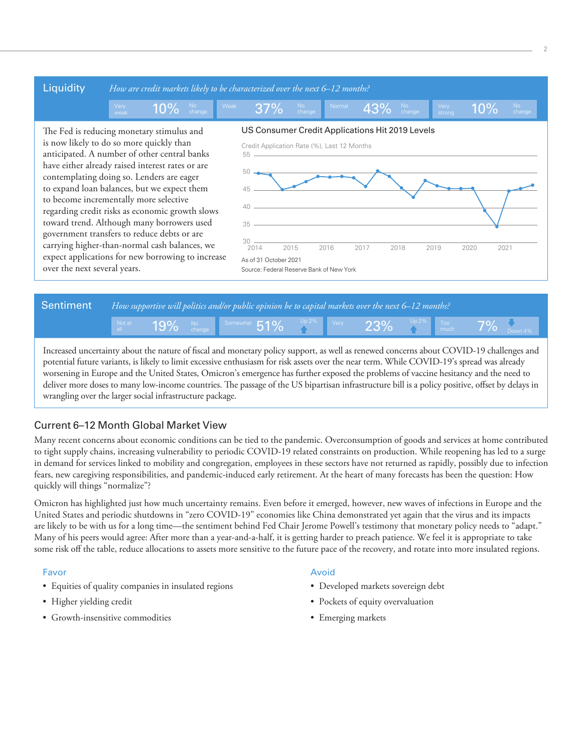

2



Increased uncertainty about the nature of fiscal and monetary policy support, as well as renewed concerns about COVID-19 challenges and potential future variants, is likely to limit excessive enthusiasm for risk assets over the near term. While COVID-19's spread was already worsening in Europe and the United States, Omicron's emergence has further exposed the problems of vaccine hesitancy and the need to deliver more doses to many low-income countries. The passage of the US bipartisan infrastructure bill is a policy positive, offset by delays in wrangling over the larger social infrastructure package.

### Current 6–12 Month Global Market View

Many recent concerns about economic conditions can be tied to the pandemic. Overconsumption of goods and services at home contributed to tight supply chains, increasing vulnerability to periodic COVID-19 related constraints on production. While reopening has led to a surge in demand for services linked to mobility and congregation, employees in these sectors have not returned as rapidly, possibly due to infection fears, new caregiving responsibilities, and pandemic-induced early retirement. At the heart of many forecasts has been the question: How quickly will things "normalize"?

Omicron has highlighted just how much uncertainty remains. Even before it emerged, however, new waves of infections in Europe and the United States and periodic shutdowns in "zero COVID-19" economies like China demonstrated yet again that the virus and its impacts are likely to be with us for a long time—the sentiment behind Fed Chair Jerome Powell's testimony that monetary policy needs to "adapt." Many of his peers would agree: After more than a year-and-a-half, it is getting harder to preach patience. We feel it is appropriate to take some risk off the table, reduce allocations to assets more sensitive to the future pace of the recovery, and rotate into more insulated regions.

#### Favor

- Equities of quality companies in insulated regions
- Higher yielding credit
- Growth-insensitive commodities

#### Avoid

- Developed markets sovereign debt
- Pockets of equity overvaluation
- Emerging markets